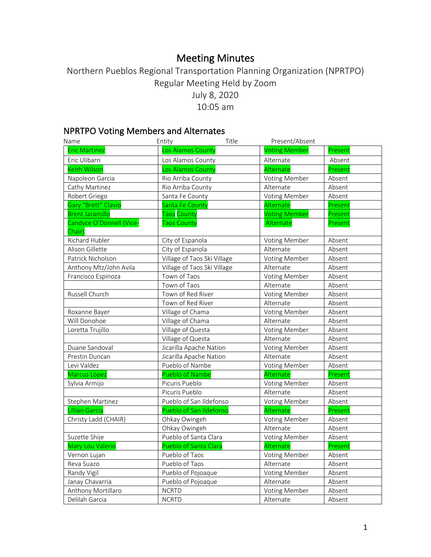# Meeting Minutes

## Northern Pueblos Regional Transportation Planning Organization (NPRTPO) Regular Meeting Held by Zoom July 8, 2020 10:05 am

## NPRTPO Voting Members and Alternates

| Name                               | Entity                      | Title | Present/Absent       |         |
|------------------------------------|-----------------------------|-------|----------------------|---------|
| <b>Eric Martinez</b>               | Los Alamos County           |       | <b>Voting Member</b> | Present |
| Eric Ulibarri                      | Los Alamos County           |       | Alternate            | Absent  |
| <b>Keith Wilson</b>                | Los Alamos County           |       | Alternate            | Present |
| Napoleon Garcia                    | Rio Arriba County           |       | <b>Voting Member</b> | Absent  |
| Cathy Martinez                     | Rio Arriba County           |       | Alternate            | Absent  |
| Robert Griego                      | Santa Fe County             |       | Voting Member        | Absent  |
| Gary "Brett" Clavio                | Santa Fe County             |       | Alternate            | Present |
| <b>Brent Jaramillo</b>             | Taos County                 |       | <b>Voting Member</b> | Present |
| Candyce O'Donnell (Vice-<br>Chair) | <b>Taos County</b>          |       | Alternate            | Present |
| Richard Hubler                     | City of Espanola            |       | <b>Voting Member</b> | Absent  |
| Alison Gillette                    | City of Espanola            |       | Alternate            | Absent  |
| Patrick Nicholson                  | Village of Taos Ski Village |       | Voting Member        | Absent  |
| Anthony Mtz/John Avila             | Village of Taos Ski Village |       | Alternate            | Absent  |
| Francisco Espinoza                 | Town of Taos                |       | Voting Member        | Absent  |
|                                    | Town of Taos                |       | Alternate            | Absent  |
| Russell Church                     | Town of Red River           |       | <b>Voting Member</b> | Absent  |
|                                    | Town of Red River           |       | Alternate            | Absent  |
| Roxanne Bayer                      | Village of Chama            |       | Voting Member        | Absent  |
| Will Donohoe                       | Village of Chama            |       | Alternate            | Absent  |
| Loretta Trujillo                   | Village of Questa           |       | Voting Member        | Absent  |
|                                    | Village of Questa           |       | Alternate            | Absent  |
| Duane Sandoval                     | Jicarilla Apache Nation     |       | <b>Voting Member</b> | Absent  |
| Prestin Duncan                     | Jicarilla Apache Nation     |       | Alternate            | Absent  |
| Levi Valdez                        | Pueblo of Nambe             |       | Voting Member        | Absent  |
| <b>Marcus Lopez</b>                | <b>Pueblo of Nambe</b>      |       | Alternate            | Present |
| Sylvia Armijo                      | Picuris Pueblo              |       | Voting Member        | Absent  |
|                                    | Picuris Pueblo              |       | Alternate            | Absent  |
| Stephen Martinez                   | Pueblo of San Ildefonso     |       | Voting Member        | Absent  |
| <b>Lillian Garcia</b>              | Pueblo of San Ildefonso     |       | Alternate            | Present |
| Christy Ladd (CHAIR)               | Ohkay Owingeh               |       | <b>Voting Member</b> | Absent  |
|                                    | Ohkay Owingeh               |       | Alternate            | Absent  |
| Suzette Shije                      | Pueblo of Santa Clara       |       | Voting Member        | Absent  |
| Mary Lou Valerio                   | Pueblo of Santa Clara       |       | Alternate            | Present |
| Vernon Lujan                       | Pueblo of Taos              |       | Voting Member        | Absent  |
| Reva Suazo                         | Pueblo of Taos              |       | Alternate            | Absent  |
| Randy Vigil                        | Pueblo of Pojoaque          |       | <b>Voting Member</b> | Absent  |
| Janay Chavarria                    | Pueblo of Pojoaque          |       | Alternate            | Absent  |
| Anthony Mortillaro                 | <b>NCRTD</b>                |       | <b>Voting Member</b> | Absent  |
| Delilah Garcia                     | <b>NCRTD</b>                |       | Alternate            | Absent  |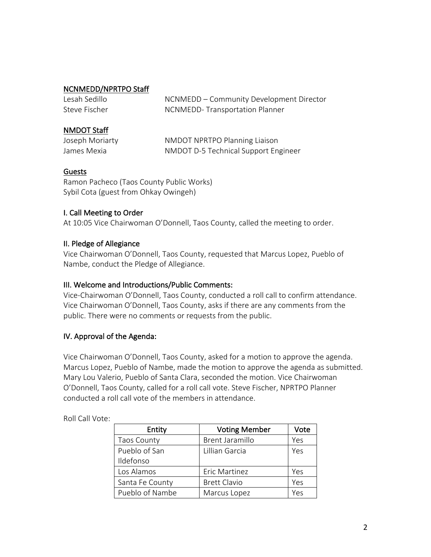### NCNMEDD/NPRTPO Staff

| Lesah Sedillo | NCNMEDD – Community Development Director |
|---------------|------------------------------------------|
| Steve Fischer | NCNMEDD-Transportation Planner           |

### NMDOT Staff

| Joseph Moriarty | NMDOT NPRTPO Planning Liaison        |
|-----------------|--------------------------------------|
| James Mexia     | NMDOT D-5 Technical Support Engineer |

## Guests

Ramon Pacheco (Taos County Public Works) Sybil Cota (guest from Ohkay Owingeh)

## I. Call Meeting to Order

At 10:05 Vice Chairwoman O'Donnell, Taos County, called the meeting to order.

### II. Pledge of Allegiance

Vice Chairwoman O'Donnell, Taos County, requested that Marcus Lopez, Pueblo of Nambe, conduct the Pledge of Allegiance.

### III. Welcome and Introductions/Public Comments:

Vice-Chairwoman O'Donnell, Taos County, conducted a roll call to confirm attendance. Vice Chairwoman O'Donnell, Taos County, asks if there are any comments from the public. There were no comments or requests from the public.

## IV. Approval of the Agenda:

Vice Chairwoman O'Donnell, Taos County, asked for a motion to approve the agenda. Marcus Lopez, Pueblo of Nambe, made the motion to approve the agenda as submitted. Mary Lou Valerio, Pueblo of Santa Clara, seconded the motion. Vice Chairwoman O'Donnell, Taos County, called for a roll call vote. Steve Fischer, NPRTPO Planner conducted a roll call vote of the members in attendance.

| Entity             | <b>Voting Member</b>   | Vote |
|--------------------|------------------------|------|
| <b>Taos County</b> | <b>Brent Jaramillo</b> | Yes  |
| Pueblo of San      | Lillian Garcia         | Yes  |
| Ildefonso          |                        |      |
| Los Alamos         | Eric Martinez          | Yes  |
| Santa Fe County    | <b>Brett Clavio</b>    | Yes  |
| Pueblo of Nambe    | Marcus Lopez           | Yes  |

Roll Call Vote: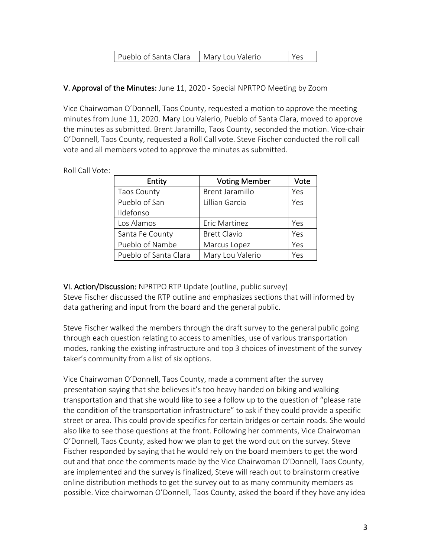| Pueblo of Santa Clara   Mary Lou Valerio |  |  |
|------------------------------------------|--|--|
|------------------------------------------|--|--|

### V. Approval of the Minutes: June 11, 2020 - Special NPRTPO Meeting by Zoom

Vice Chairwoman O'Donnell, Taos County, requested a motion to approve the meeting minutes from June 11, 2020. Mary Lou Valerio, Pueblo of Santa Clara, moved to approve the minutes as submitted. Brent Jaramillo, Taos County, seconded the motion. Vice-chair O'Donnell, Taos County, requested a Roll Call vote. Steve Fischer conducted the roll call vote and all members voted to approve the minutes as submitted.

| Entity                | <b>Voting Member</b>   | Vote |
|-----------------------|------------------------|------|
| <b>Taos County</b>    | <b>Brent Jaramillo</b> | Yes  |
| Pueblo of San         | Lillian Garcia         | Yes  |
| Ildefonso             |                        |      |
| Los Alamos            | Eric Martinez          | Yes  |
| Santa Fe County       | <b>Brett Clavio</b>    | Yes  |
| Pueblo of Nambe       | Marcus Lopez           | Yes  |
| Pueblo of Santa Clara | Mary Lou Valerio       | Yes  |

Roll Call Vote:

VI. Action/Discussion: NPRTPO RTP Update (outline, public survey) Steve Fischer discussed the RTP outline and emphasizes sections that will informed by data gathering and input from the board and the general public.

Steve Fischer walked the members through the draft survey to the general public going through each question relating to access to amenities, use of various transportation modes, ranking the existing infrastructure and top 3 choices of investment of the survey taker's community from a list of six options.

Vice Chairwoman O'Donnell, Taos County, made a comment after the survey presentation saying that she believes it's too heavy handed on biking and walking transportation and that she would like to see a follow up to the question of "please rate the condition of the transportation infrastructure" to ask if they could provide a specific street or area. This could provide specifics for certain bridges or certain roads. She would also like to see those questions at the front. Following her comments, Vice Chairwoman O'Donnell, Taos County, asked how we plan to get the word out on the survey. Steve Fischer responded by saying that he would rely on the board members to get the word out and that once the comments made by the Vice Chairwoman O'Donnell, Taos County, are implemented and the survey is finalized, Steve will reach out to brainstorm creative online distribution methods to get the survey out to as many community members as possible. Vice chairwoman O'Donnell, Taos County, asked the board if they have any idea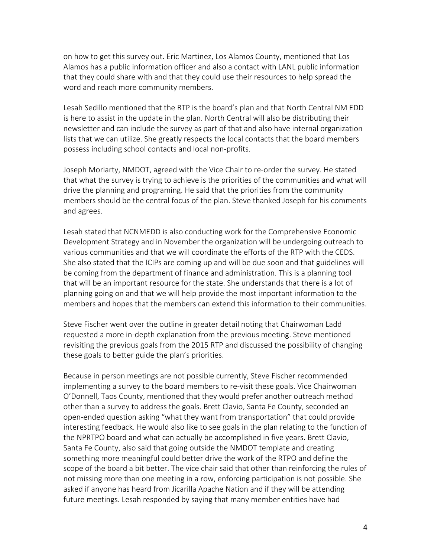on how to get this survey out. Eric Martinez, Los Alamos County, mentioned that Los Alamos has a public information officer and also a contact with LANL public information that they could share with and that they could use their resources to help spread the word and reach more community members.

Lesah Sedillo mentioned that the RTP is the board's plan and that North Central NM EDD is here to assist in the update in the plan. North Central will also be distributing their newsletter and can include the survey as part of that and also have internal organization lists that we can utilize. She greatly respects the local contacts that the board members possess including school contacts and local non-profits.

Joseph Moriarty, NMDOT, agreed with the Vice Chair to re-order the survey. He stated that what the survey is trying to achieve is the priorities of the communities and what will drive the planning and programing. He said that the priorities from the community members should be the central focus of the plan. Steve thanked Joseph for his comments and agrees.

Lesah stated that NCNMEDD is also conducting work for the Comprehensive Economic Development Strategy and in November the organization will be undergoing outreach to various communities and that we will coordinate the efforts of the RTP with the CEDS. She also stated that the ICIPs are coming up and will be due soon and that guidelines will be coming from the department of finance and administration. This is a planning tool that will be an important resource for the state. She understands that there is a lot of planning going on and that we will help provide the most important information to the members and hopes that the members can extend this information to their communities.

Steve Fischer went over the outline in greater detail noting that Chairwoman Ladd requested a more in-depth explanation from the previous meeting. Steve mentioned revisiting the previous goals from the 2015 RTP and discussed the possibility of changing these goals to better guide the plan's priorities.

Because in person meetings are not possible currently, Steve Fischer recommended implementing a survey to the board members to re-visit these goals. Vice Chairwoman O'Donnell, Taos County, mentioned that they would prefer another outreach method other than a survey to address the goals. Brett Clavio, Santa Fe County, seconded an open-ended question asking "what they want from transportation" that could provide interesting feedback. He would also like to see goals in the plan relating to the function of the NPRTPO board and what can actually be accomplished in five years. Brett Clavio, Santa Fe County, also said that going outside the NMDOT template and creating something more meaningful could better drive the work of the RTPO and define the scope of the board a bit better. The vice chair said that other than reinforcing the rules of not missing more than one meeting in a row, enforcing participation is not possible. She asked if anyone has heard from Jicarilla Apache Nation and if they will be attending future meetings. Lesah responded by saying that many member entities have had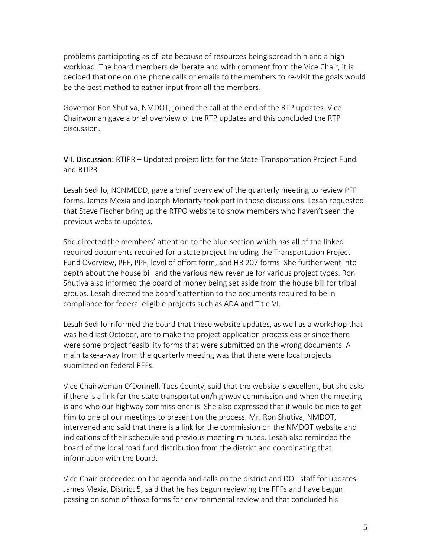problems participating as of late because of resources being spread thin and a high workload. The board members deliberate and with comment from the Vice Chair, it is decided that one on one phone calls or emails to the members to re-visit the goals would be the best method to gather input from all the members.

Governor Ron Shutiva, NMDOT, joined the call at the end of the RTP updates. Vice Chairwoman gave a brief overview of the RTP updates and this concluded the RTP discussion.

VII. Discussion: RTIPR – Updated project lists for the State-Transportation Project Fund and RTIPR

Lesah Sedillo, NCNMEDD, gave a brief overview of the quarterly meeting to review PFF forms. James Mexia and Joseph Moriarty took part in those discussions. Lesah requested that Steve Fischer bring up the RTPO website to show members who haven't seen the previous website updates.

She directed the members' attention to the blue section which has all of the linked required documents required for a state project including the Transportation Project Fund Overview, PFF, PPF, level of effort form, and HB 207 forms. She further went into depth about the house bill and the various new revenue for various project types. Ron Shutiva also informed the board of money being set aside from the house bill for tribal groups. Lesah directed the board's attention to the documents required to be in compliance for federal eligible projects such as ADA and Title VI.

Lesah Sedillo informed the board that these website updates, as well as a workshop that was held last October, are to make the project application process easier since there were some project feasibility forms that were submitted on the wrong documents. A main take-a-way from the quarterly meeting was that there were local projects submitted on federal PFFs.

Vice Chairwoman O'Donnell, Taos County, said that the website is excellent, but she asks if there is a link for the state transportation/highway commission and when the meeting is and who our highway commissioner is. She also expressed that it would be nice to get him to one of our meetings to present on the process. Mr. Ron Shutiva, NMDOT, intervened and said that there is a link for the commission on the NMDOT website and indications of their schedule and previous meeting minutes. Lesah also reminded the board of the local road fund distribution from the district and coordinating that information with the board.

Vice Chair proceeded on the agenda and calls on the district and DOT staff for updates. James Mexia, District 5, said that he has begun reviewing the PFFs and have begun passing on some of those forms for environmental review and that concluded his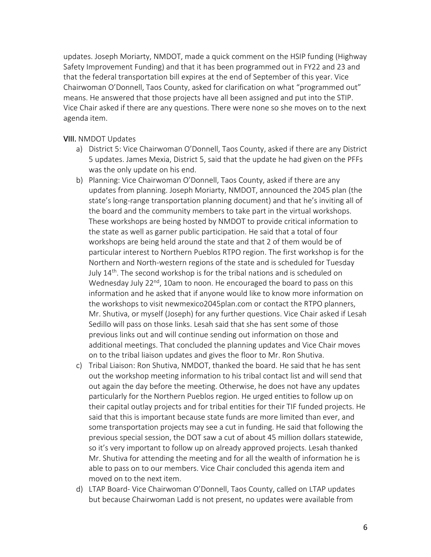updates. Joseph Moriarty, NMDOT, made a quick comment on the HSIP funding (Highway Safety Improvement Funding) and that it has been programmed out in FY22 and 23 and that the federal transportation bill expires at the end of September of this year. Vice Chairwoman O'Donnell, Taos County, asked for clarification on what "programmed out" means. He answered that those projects have all been assigned and put into the STIP. Vice Chair asked if there are any questions. There were none so she moves on to the next agenda item.

#### VIII. NMDOT Updates

- a) District 5: Vice Chairwoman O'Donnell, Taos County, asked if there are any District 5 updates. James Mexia, District 5, said that the update he had given on the PFFs was the only update on his end.
- b) Planning: Vice Chairwoman O'Donnell, Taos County, asked if there are any updates from planning. Joseph Moriarty, NMDOT, announced the 2045 plan (the state's long-range transportation planning document) and that he's inviting all of the board and the community members to take part in the virtual workshops. These workshops are being hosted by NMDOT to provide critical information to the state as well as garner public participation. He said that a total of four workshops are being held around the state and that 2 of them would be of particular interest to Northern Pueblos RTPO region. The first workshop is for the Northern and North-western regions of the state and is scheduled for Tuesday July  $14<sup>th</sup>$ . The second workshop is for the tribal nations and is scheduled on Wednesday July 22<sup>nd</sup>, 10am to noon. He encouraged the board to pass on this information and he asked that if anyone would like to know more information on the workshops to visit newmexico2045plan.com or contact the RTPO planners, Mr. Shutiva, or myself (Joseph) for any further questions. Vice Chair asked if Lesah Sedillo will pass on those links. Lesah said that she has sent some of those previous links out and will continue sending out information on those and additional meetings. That concluded the planning updates and Vice Chair moves on to the tribal liaison updates and gives the floor to Mr. Ron Shutiva.
- c) Tribal Liaison: Ron Shutiva, NMDOT, thanked the board. He said that he has sent out the workshop meeting information to his tribal contact list and will send that out again the day before the meeting. Otherwise, he does not have any updates particularly for the Northern Pueblos region. He urged entities to follow up on their capital outlay projects and for tribal entities for their TIF funded projects. He said that this is important because state funds are more limited than ever, and some transportation projects may see a cut in funding. He said that following the previous special session, the DOT saw a cut of about 45 million dollars statewide, so it's very important to follow up on already approved projects. Lesah thanked Mr. Shutiva for attending the meeting and for all the wealth of information he is able to pass on to our members. Vice Chair concluded this agenda item and moved on to the next item.
- d) LTAP Board- Vice Chairwoman O'Donnell, Taos County, called on LTAP updates but because Chairwoman Ladd is not present, no updates were available from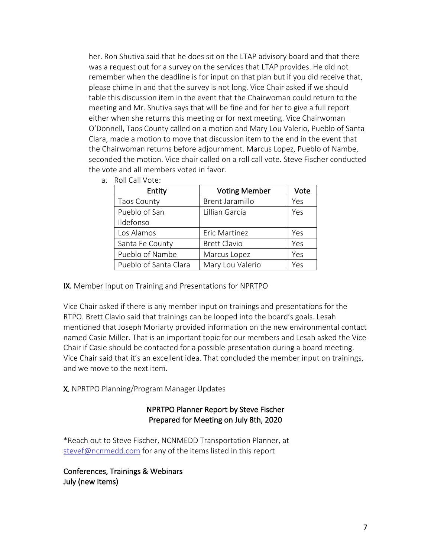her. Ron Shutiva said that he does sit on the LTAP advisory board and that there was a request out for a survey on the services that LTAP provides. He did not remember when the deadline is for input on that plan but if you did receive that, please chime in and that the survey is not long. Vice Chair asked if we should table this discussion item in the event that the Chairwoman could return to the meeting and Mr. Shutiva says that will be fine and for her to give a full report either when she returns this meeting or for next meeting. Vice Chairwoman O'Donnell, Taos County called on a motion and Mary Lou Valerio, Pueblo of Santa Clara, made a motion to move that discussion item to the end in the event that the Chairwoman returns before adjournment. Marcus Lopez, Pueblo of Nambe, seconded the motion. Vice chair called on a roll call vote. Steve Fischer conducted the vote and all members voted in favor.

- Entity | Voting Member | Vote Taos County Res | Brent Jaramillo | Yes Pueblo of San Ildefonso Lillian Garcia Ves Los Alamos Fric Martinez Pres Santa Fe County | Brett Clavio | Yes Pueblo of Nambe  $\vert$  Marcus Lopez  $\vert$  Yes Pueblo of Santa Clara  $\parallel$  Mary Lou Valerio  $\parallel$  Yes
- a. Roll Call Vote:

IX. Member Input on Training and Presentations for NPRTPO

Vice Chair asked if there is any member input on trainings and presentations for the RTPO. Brett Clavio said that trainings can be looped into the board's goals. Lesah mentioned that Joseph Moriarty provided information on the new environmental contact named Casie Miller. That is an important topic for our members and Lesah asked the Vice Chair if Casie should be contacted for a possible presentation during a board meeting. Vice Chair said that it's an excellent idea. That concluded the member input on trainings, and we move to the next item.

X. NPRTPO Planning/Program Manager Updates

#### NPRTPO Planner Report by Steve Fischer Prepared for Meeting on July 8th, 2020

\*Reach out to Steve Fischer, NCNMEDD Transportation Planner, at stevef@ncnmedd.com for any of the items listed in this report

Conferences, Trainings & Webinars July (new Items)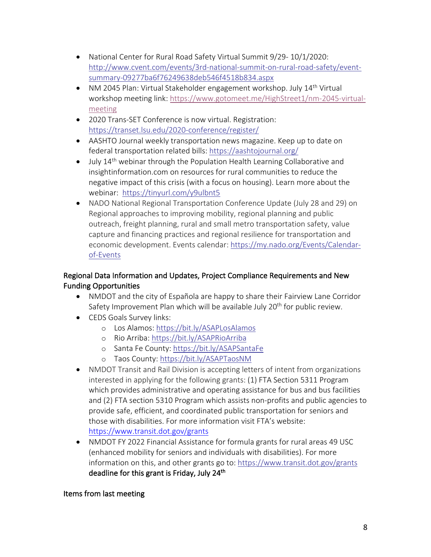- National Center for Rural Road Safety Virtual Summit 9/29- 10/1/2020: http://www.cvent.com/events/3rd-national-summit-on-rural-road-safety/eventsummary-09277ba6f76249638deb546f4518b834.aspx
- NM 2045 Plan: Virtual Stakeholder engagement workshop. July  $14<sup>th</sup>$  Virtual workshop meeting link: https://www.gotomeet.me/HighStreet1/nm-2045-virtualmeeting
- 2020 Trans-SET Conference is now virtual. Registration: https://transet.lsu.edu/2020-conference/register/
- AASHTO Journal weekly transportation news magazine. Keep up to date on federal transportation related bills: https://aashtojournal.org/
- July 14<sup>th</sup> webinar through the Population Health Learning Collaborative and insightinformation.com on resources for rural communities to reduce the negative impact of this crisis (with a focus on housing). Learn more about the webinar: https://tinyurl.com/y9ulbnt5
- NADO National Regional Transportation Conference Update (July 28 and 29) on Regional approaches to improving mobility, regional planning and public outreach, freight planning, rural and small metro transportation safety, value capture and financing practices and regional resilience for transportation and economic development. Events calendar: https://my.nado.org/Events/Calendarof-Events

## Regional Data Information and Updates, Project Compliance Requirements and New Funding Opportunities

- NMDOT and the city of Española are happy to share their Fairview Lane Corridor Safety Improvement Plan which will be available July 20<sup>th</sup> for public review.
- CEDS Goals Survey links:
	- o Los Alamos: https://bit.ly/ASAPLosAlamos
	- o Rio Arriba: https://bit.ly/ASAPRioArriba
	- o Santa Fe County: https://bit.ly/ASAPSantaFe
	- o Taos County: https://bit.ly/ASAPTaosNM
- NMDOT Transit and Rail Division is accepting letters of intent from organizations interested in applying for the following grants: (1) FTA Section 5311 Program which provides administrative and operating assistance for bus and bus facilities and (2) FTA section 5310 Program which assists non-profits and public agencies to provide safe, efficient, and coordinated public transportation for seniors and those with disabilities. For more information visit FTA's website: https://www.transit.dot.gov/grants
- NMDOT FY 2022 Financial Assistance for formula grants for rural areas 49 USC (enhanced mobility for seniors and individuals with disabilities). For more information on this, and other grants go to: https://www.transit.dot.gov/grants deadline for this grant is Friday, July 24<sup>th</sup>

## Items from last meeting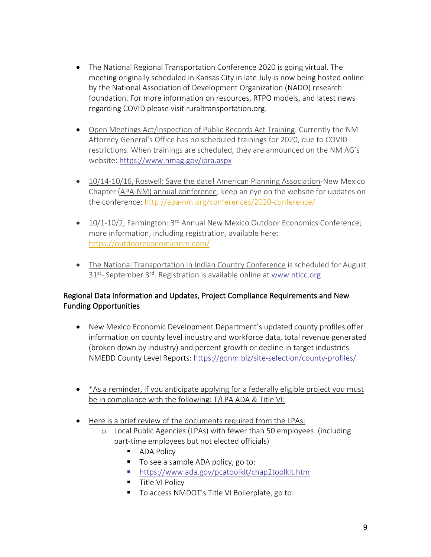- The National Regional Transportation Conference 2020 is going virtual. The meeting originally scheduled in Kansas City in late July is now being hosted online by the National Association of Development Organization (NADO) research foundation. For more information on resources, RTPO models, and latest news regarding COVID please visit ruraltransportation.org.
- Open Meetings Act/Inspection of Public Records Act Training. Currently the NM Attorney General's Office has no scheduled trainings for 2020, due to COVID restrictions. When trainings are scheduled, they are announced on the NM AG's website: https://www.nmag.gov/ipra.aspx
- 10/14-10/16, Roswell: Save the date! American Planning Association-New Mexico Chapter (APA-NM) annual conference; keep an eye on the website for updates on the conference; http://apa-nm.org/conferences/2020-conference/
- 10/1-10/2, Farmington: 3<sup>rd</sup> Annual New Mexico Outdoor Economics Conference; more information, including registration, available here: https://outdooreconomicsnm.com/
- The National Transportation in Indian Country Conference is scheduled for August 31<sup>st</sup>- September 3<sup>rd</sup>. Registration is available online at www.nticc.org

## Regional Data Information and Updates, Project Compliance Requirements and New Funding Opportunities

- New Mexico Economic Development Department's updated county profiles offer information on county level industry and workforce data, total revenue generated (broken down by industry) and percent growth or decline in target industries. NMEDD County Level Reports: https://gonm.biz/site-selection/county-profiles/
- \*As a reminder, if you anticipate applying for a federally eligible project you must be in compliance with the following: T/LPA ADA & Title VI:
- Here is a brief review of the documents required from the LPAs:
	- o Local Public Agencies (LPAs) with fewer than 50 employees: (including part-time employees but not elected officials)
		- ADA Policy
		- To see a sample ADA policy, go to:
		- § https://www.ada.gov/pcatoolkit/chap2toolkit.htm
		- Title VI Policy
		- To access NMDOT's Title VI Boilerplate, go to: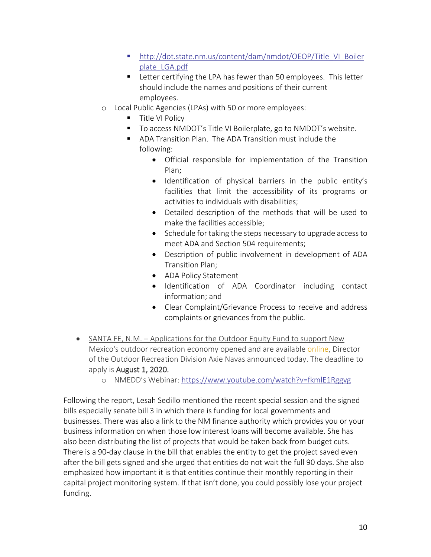- § http://dot.state.nm.us/content/dam/nmdot/OEOP/Title\_VI\_Boiler plate\_LGA.pdf
- Letter certifying the LPA has fewer than 50 employees. This letter should include the names and positions of their current employees.
- o Local Public Agencies (LPAs) with 50 or more employees:
	- Title VI Policy
	- To access NMDOT's Title VI Boilerplate, go to NMDOT's website.
	- ADA Transition Plan. The ADA Transition must include the following:
		- Official responsible for implementation of the Transition Plan;
		- Identification of physical barriers in the public entity's facilities that limit the accessibility of its programs or activities to individuals with disabilities;
		- Detailed description of the methods that will be used to make the facilities accessible;
		- Schedule for taking the steps necessary to upgrade access to meet ADA and Section 504 requirements;
		- Description of public involvement in development of ADA Transition Plan;
		- ADA Policy Statement
		- Identification of ADA Coordinator including contact information; and
		- Clear Complaint/Grievance Process to receive and address complaints or grievances from the public.
- SANTA FE, N.M. Applications for the Outdoor Equity Fund to support New Mexico's outdoor recreation economy opened and are available online, Director of the Outdoor Recreation Division Axie Navas announced today. The deadline to apply is August 1, 2020.
	- o NMEDD's Webinar: https://www.youtube.com/watch?v=fkmlE1Rggvg

Following the report, Lesah Sedillo mentioned the recent special session and the signed bills especially senate bill 3 in which there is funding for local governments and businesses. There was also a link to the NM finance authority which provides you or your business information on when those low interest loans will become available. She has also been distributing the list of projects that would be taken back from budget cuts. There is a 90-day clause in the bill that enables the entity to get the project saved even after the bill gets signed and she urged that entities do not wait the full 90 days. She also emphasized how important it is that entities continue their monthly reporting in their capital project monitoring system. If that isn't done, you could possibly lose your project funding.